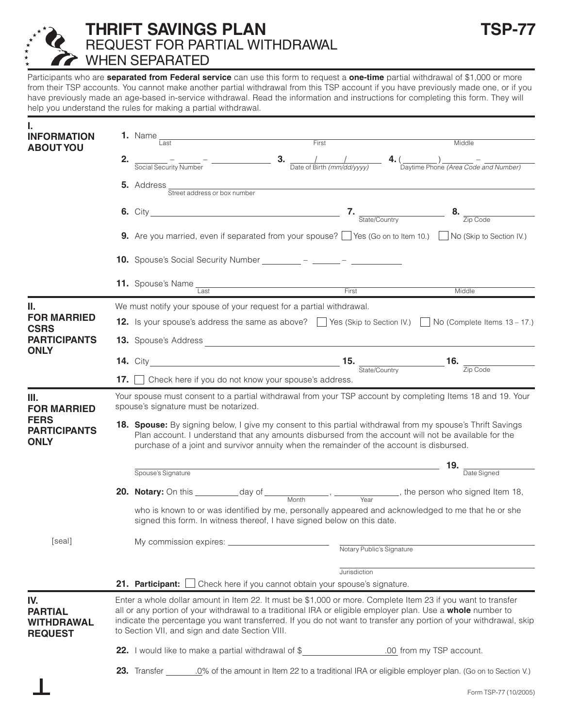**THRIFT SAVINGS PLAN TSP-77** REQUEST FOR PARTIAL WITHDRAWAL

**WHEN SEPARATED** 

Participants who are **separated from Federal service** can use this form to request a **one-time** partial withdrawal of \$1,000 or more from their TSP accounts. You cannot make another partial withdrawal from this TSP account if you have previously made one, or if you have previously made an age-based in-service withdrawal. Read the information and instructions for completing this form. They will help you understand the rules for making a partial withdrawal.

| I.<br><b>INFORMATION</b><br><b>ABOUT YOU</b>                   | <b>1.</b> Name $\frac{1}{\text{Last}}$                                                                                                                                                                                                                                                                                      | First                                                            | Middle                 |        |  |
|----------------------------------------------------------------|-----------------------------------------------------------------------------------------------------------------------------------------------------------------------------------------------------------------------------------------------------------------------------------------------------------------------------|------------------------------------------------------------------|------------------------|--------|--|
|                                                                | $\frac{1}{\text{Social Security Number}} - \frac{1}{\text{tex link}}$ 3. $\frac{1}{\text{Date of Birth (mm/dd/yyyy)}}$ 4. $\frac{1}{\text{Daytime Phone (Area Code and Number)}}$<br>2.<br>5. Address Street address or box number                                                                                          |                                                                  |                        |        |  |
|                                                                |                                                                                                                                                                                                                                                                                                                             |                                                                  |                        |        |  |
|                                                                | <b>6.</b> City <b>8.</b> $\frac{1}{\text{Size/Country}}$ <b>8.</b> $\frac{1}{\text{Size/Country}}$ <b>8.</b> $\frac{1}{\text{Zip Code}}$                                                                                                                                                                                    |                                                                  |                        |        |  |
|                                                                | <b>9.</b> Are you married, even if separated from your spouse? $\Box$ Yes (Go on to Item 10.) $\Box$ No (Skip to Section IV.)                                                                                                                                                                                               |                                                                  |                        |        |  |
|                                                                | 10. Spouse's Social Security Number ________ - _____ - ______ -                                                                                                                                                                                                                                                             |                                                                  |                        |        |  |
|                                                                |                                                                                                                                                                                                                                                                                                                             |                                                                  |                        |        |  |
|                                                                |                                                                                                                                                                                                                                                                                                                             | <b>11.</b> Spouse's Name $\frac{1}{\text{Last}}$                 | <u>First</u>           | Middle |  |
| Ш.                                                             | We must notify your spouse of your request for a partial withdrawal.                                                                                                                                                                                                                                                        |                                                                  |                        |        |  |
| <b>FOR MARRIED</b><br><b>CSRS</b>                              | <b>12.</b> Is your spouse's address the same as above? $\Box$ Yes (Skip to Section IV.) $\Box$ No (Complete Items 13 – 17.)                                                                                                                                                                                                 |                                                                  |                        |        |  |
| <b>PARTICIPANTS</b>                                            | 13. Spouse's Address <b>Constantine Construction</b> and the spouse of the spouse of the spouse of the spouse of the spouse of the spouse of the spouse of the spouse of the spouse of the spouse of the spouse of the spouse of th                                                                                         |                                                                  |                        |        |  |
| <b>ONLY</b>                                                    | <b>14.</b> City <b>15.</b> State/Country <b>15.</b> $\frac{1}{\text{State/Country}}$ <b>16.</b> $\frac{1}{\text{Zip Code}}$                                                                                                                                                                                                 |                                                                  |                        |        |  |
|                                                                | 17. Check here if you do not know your spouse's address.                                                                                                                                                                                                                                                                    |                                                                  |                        |        |  |
| Ш.<br><b>FOR MARRIED</b><br><b>FERS</b><br><b>PARTICIPANTS</b> | Your spouse must consent to a partial withdrawal from your TSP account by completing Items 18 and 19. Your<br>spouse's signature must be notarized.<br>18. Spouse: By signing below, I give my consent to this partial withdrawal from my spouse's Thrift Savings                                                           |                                                                  |                        |        |  |
| <b>ONLY</b>                                                    | Plan account. I understand that any amounts disbursed from the account will not be available for the<br>purchase of a joint and survivor annuity when the remainder of the account is disbursed.                                                                                                                            |                                                                  |                        |        |  |
|                                                                | Spouse's Signature                                                                                                                                                                                                                                                                                                          | <u> 1980 - Johann Barn, mars ar breithinn ar chuid ann an t-</u> | <b>19.</b> Date Signed |        |  |
|                                                                |                                                                                                                                                                                                                                                                                                                             |                                                                  |                        |        |  |
|                                                                | <b>20. Notary:</b> On this $\_\_\_\_\_\_\_\_\$ day of $\_\_\_\_\_\_\_\_\_\_\$ , $\_\_\_\_\_\_\_\_\_\_\_\_\,\_\_\_\_\_\,\_\_\,\_\_\_\_\,\_$<br>who is known to or was identified by me, personally appeared and acknowledged to me that he or she<br>signed this form. In witness thereof, I have signed below on this date. |                                                                  |                        |        |  |
| [seal]                                                         |                                                                                                                                                                                                                                                                                                                             | Notary Public's Signature                                        |                        |        |  |
|                                                                |                                                                                                                                                                                                                                                                                                                             |                                                                  |                        |        |  |
|                                                                | Jurisdiction<br><b>21. Participant:</b> $\Box$ Check here if you cannot obtain your spouse's signature.                                                                                                                                                                                                                     |                                                                  |                        |        |  |
| IV.                                                            | Enter a whole dollar amount in Item 22. It must be \$1,000 or more. Complete Item 23 if you want to transfer                                                                                                                                                                                                                |                                                                  |                        |        |  |
| <b>PARTIAL</b><br>WITHDRAWAL<br><b>REQUEST</b>                 | all or any portion of your withdrawal to a traditional IRA or eligible employer plan. Use a whole number to<br>indicate the percentage you want transferred. If you do not want to transfer any portion of your withdrawal, skip<br>to Section VII, and sign and date Section VIII.                                         |                                                                  |                        |        |  |
|                                                                | 22. I would like to make a partial withdrawal of \$ .00 from my TSP account.                                                                                                                                                                                                                                                |                                                                  |                        |        |  |
|                                                                |                                                                                                                                                                                                                                                                                                                             |                                                                  |                        |        |  |
|                                                                |                                                                                                                                                                                                                                                                                                                             |                                                                  | Form TSP-77 (10/2005)  |        |  |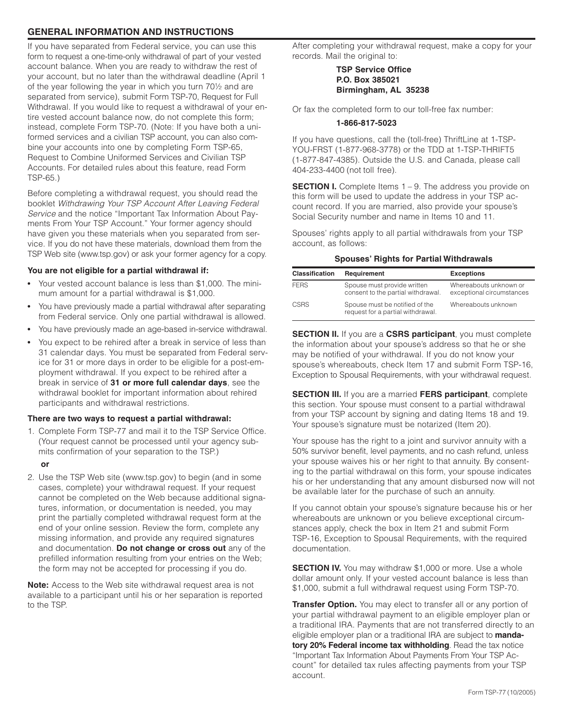# **GENERAL INFORMATION AND INSTRUCTIONS**

If you have separated from Federal service, you can use this form to request a one-time-only withdrawal of part of your vested account balance. When you are ready to withdraw the rest of your account, but no later than the withdrawal deadline (April 1 of the year following the year in which you turn 70½ and are separated from service), submit Form TSP-70, Request for Full Withdrawal. If you would like to request a withdrawal of your entire vested account balance now, do not complete this form; instead, complete Form TSP-70. (Note: If you have both a uniformed services and a civilian TSP account, you can also combine your accounts into one by completing Form TSP-65, Request to Combine Uniformed Services and Civilian TSP Accounts. For detailed rules about this feature, read Form TSP-65.)

Before completing a withdrawal request, you should read the booklet Withdrawing Your TSP Account After Leaving Federal Service and the notice "Important Tax Information About Payments From Your TSP Account." Your former agency should have given you these materials when you separated from service. If you do not have these materials, download them from the TSP Web site (www.tsp.gov) or ask your former agency for a copy.

## **You are not eligible for a partial withdrawal if:**

- Your vested account balance is less than \$1,000. The minimum amount for a partial withdrawal is \$1,000.
- You have previously made a partial withdrawal after separating from Federal service. Only one partial withdrawal is allowed.
- You have previously made an age-based in-service withdrawal.
- You expect to be rehired after a break in service of less than 31 calendar days. You must be separated from Federal service for 31 or more days in order to be eligible for a post-employment withdrawal. If you expect to be rehired after a break in service of **31 or more full calendar days**, see the withdrawal booklet for important information about rehired participants and withdrawal restrictions.

### **There are two ways to request a partial withdrawal:**

1. Complete Form TSP-77 and mail it to the TSP Service Office. (Your request cannot be processed until your agency submits confirmation of your separation to the TSP.)

#### **or**

2. Use the TSP Web site (www.tsp.gov) to begin (and in some cases, complete) your withdrawal request. If your request cannot be completed on the Web because additional signatures, information, or documentation is needed, you may print the partially completed withdrawal request form at the end of your online session. Review the form, complete any missing information, and provide any required signatures and documentation. **Do not change or cross out** any of the prefilled information resulting from your entries on the Web; the form may not be accepted for processing if you do.

**Note:** Access to the Web site withdrawal request area is not available to a participant until his or her separation is reported to the TSP.

After completing your withdrawal request, make a copy for your records. Mail the original to:

### **TSP Service Office P.O. Box 385021 Birmingham, AL 35238**

Or fax the completed form to our toll-free fax number:

#### **1-866-817-5023**

If you have questions, call the (toll-free) ThriftLine at 1-TSP-YOU-FRST (1-877-968-3778) or the TDD at 1-TSP-THRIFT5 (1-877-847-4385). Outside the U.S. and Canada, please call 404-233-4400 (not toll free).

**SECTION I.** Complete Items 1 – 9. The address you provide on this form will be used to update the address in your TSP account record. If you are married, also provide your spouse's Social Security number and name in Items 10 and 11.

Spouses' rights apply to all partial withdrawals from your TSP account, as follows:

### **Spouses' Rights for Partial Withdrawals**

| <b>Classification</b> | Requirement                                                         | <b>Exceptions</b>                                   |
|-----------------------|---------------------------------------------------------------------|-----------------------------------------------------|
| <b>FERS</b>           | Spouse must provide written<br>consent to the partial withdrawal.   | Whereabouts unknown or<br>exceptional circumstances |
| <b>CSRS</b>           | Spouse must be notified of the<br>request for a partial withdrawal. | Whereabouts unknown                                 |

**SECTION II.** If you are a **CSRS participant**, you must complete the information about your spouse's address so that he or she may be notified of your withdrawal. If you do not know your spouse's whereabouts, check Item 17 and submit Form TSP-16, Exception to Spousal Requirements, with your withdrawal request.

**SECTION III.** If you are a married **FERS participant**, complete this section. Your spouse must consent to a partial withdrawal from your TSP account by signing and dating Items 18 and 19. Your spouse's signature must be notarized (Item 20).

Your spouse has the right to a joint and survivor annuity with a 50% survivor benefit, level payments, and no cash refund, unless your spouse waives his or her right to that annuity. By consenting to the partial withdrawal on this form, your spouse indicates his or her understanding that any amount disbursed now will not be available later for the purchase of such an annuity.

If you cannot obtain your spouse's signature because his or her whereabouts are unknown or you believe exceptional circumstances apply, check the box in Item 21 and submit Form TSP-16, Exception to Spousal Requirements, with the required documentation.

**SECTION IV.** You may withdraw \$1,000 or more. Use a whole dollar amount only. If your vested account balance is less than \$1,000, submit a full withdrawal request using Form TSP-70.

**Transfer Option.** You may elect to transfer all or any portion of your partial withdrawal payment to an eligible employer plan or a traditional IRA. Payments that are not transferred directly to an eligible employer plan or a traditional IRA are subject to **mandatory 20% Federal income tax withholding**. Read the tax notice "Important Tax Information About Payments From Your TSP Account" for detailed tax rules affecting payments from your TSP account.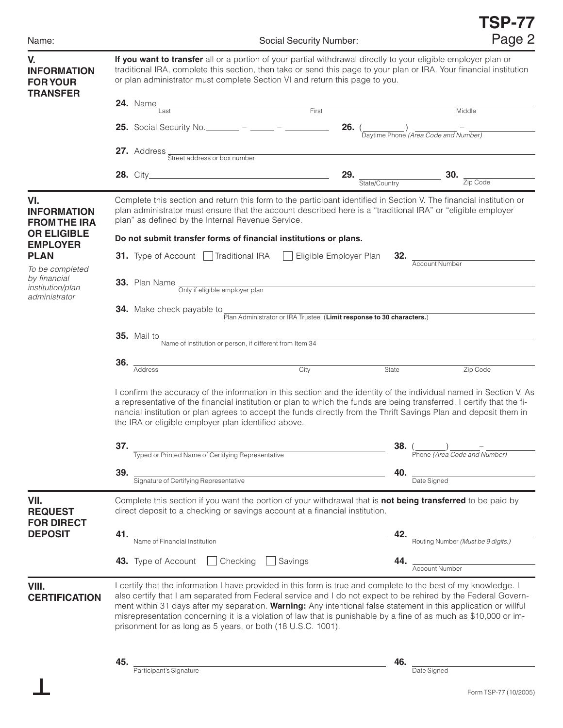|                                                                         |                                                                                                                                                                                                                                                                                                                                                                                                                                                                                                                                           |                                | <b>TSP-77</b>                                                            |  |  |
|-------------------------------------------------------------------------|-------------------------------------------------------------------------------------------------------------------------------------------------------------------------------------------------------------------------------------------------------------------------------------------------------------------------------------------------------------------------------------------------------------------------------------------------------------------------------------------------------------------------------------------|--------------------------------|--------------------------------------------------------------------------|--|--|
| Name:                                                                   |                                                                                                                                                                                                                                                                                                                                                                                                                                                                                                                                           | <b>Social Security Number:</b> | Page 2                                                                   |  |  |
| $V_{\cdot}$<br><b>INFORMATION</b><br><b>FOR YOUR</b><br><b>TRANSFER</b> | If you want to transfer all or a portion of your partial withdrawal directly to your eligible employer plan or<br>traditional IRA, complete this section, then take or send this page to your plan or IRA. Your financial institution<br>or plan administrator must complete Section VI and return this page to you.                                                                                                                                                                                                                      |                                |                                                                          |  |  |
|                                                                         | <b>24.</b> Name<br>$\begin{tabular}{c} \multicolumn{2}{c }{ \begin{tabular}{@{}c@{}} \hline \multicolumn{2}{c }{ \multicolumn{2}{c }{ \multicolumn{2}{c }{ \multicolumn{2}{c }{ \multicolumn{2}{c }{ \multicolumn{2}{c }{ \multicolumn{2}{c}}{ \multicolumn{2}{c}}{ \multicolumn{2}{c} & \multicolumn{2}{c} & \multicolumn{2}{c} & \multicolumn{2}{c} & \multicolumn{2}{c} & \multicolumn{2}{c} & \multicolumn{2}{c} & \multicolumn{2}{c} & \multicolumn{2}{c} & \multicolumn{2}{c} & \multicolumn{2}{$<br>Last                           |                                | Middle                                                                   |  |  |
|                                                                         | <b>25.</b> Social Security No. _________ - ______ - ______                                                                                                                                                                                                                                                                                                                                                                                                                                                                                |                                | <b>26.</b> (Daytime Phone (Area Code and Number)                         |  |  |
|                                                                         | <b>27.</b> Address $\frac{1}{\text{Street address or box number}}$                                                                                                                                                                                                                                                                                                                                                                                                                                                                        |                                |                                                                          |  |  |
|                                                                         |                                                                                                                                                                                                                                                                                                                                                                                                                                                                                                                                           | 29.<br>State/Country           | 30.<br>Zip Code                                                          |  |  |
| VI.<br><b>INFORMATION</b><br><b>FROM THE IRA</b>                        | Complete this section and return this form to the participant identified in Section V. The financial institution or<br>plan administrator must ensure that the account described here is a "traditional IRA" or "eligible employer<br>plan" as defined by the Internal Revenue Service.                                                                                                                                                                                                                                                   |                                |                                                                          |  |  |
| <b>OR ELIGIBLE</b><br><b>EMPLOYER</b>                                   | Do not submit transfer forms of financial institutions or plans.                                                                                                                                                                                                                                                                                                                                                                                                                                                                          |                                |                                                                          |  |  |
| <b>PLAN</b><br>To be completed                                          | <b>31.</b> Type of Account   Traditional IRA<br>$\perp$<br>Eligible Employer Plan<br>32.<br><b>Account Number</b>                                                                                                                                                                                                                                                                                                                                                                                                                         |                                |                                                                          |  |  |
| by financial<br>institution/plan                                        | 33. Plan Name<br>Only if eligible employer plan                                                                                                                                                                                                                                                                                                                                                                                                                                                                                           |                                |                                                                          |  |  |
| administrator                                                           |                                                                                                                                                                                                                                                                                                                                                                                                                                                                                                                                           |                                |                                                                          |  |  |
|                                                                         | <b>34.</b> Make check payable to <b>Plan Administrator or IRA Trustee</b> (Limit response to 30 characters.)                                                                                                                                                                                                                                                                                                                                                                                                                              |                                |                                                                          |  |  |
|                                                                         | <b>35.</b> Mail to $\frac{1}{\text{Name of institution or person, if different from Item 34}}$                                                                                                                                                                                                                                                                                                                                                                                                                                            |                                |                                                                          |  |  |
|                                                                         | 36.<br>Address                                                                                                                                                                                                                                                                                                                                                                                                                                                                                                                            | City<br>State                  | Zip Code                                                                 |  |  |
|                                                                         | I confirm the accuracy of the information in this section and the identity of the individual named in Section V. As<br>a representative of the financial institution or plan to which the funds are being transferred, I certify that the fi-<br>nancial institution or plan agrees to accept the funds directly from the Thrift Savings Plan and deposit them in<br>the IRA or eligible employer plan identified above.                                                                                                                  |                                |                                                                          |  |  |
|                                                                         | 37.<br>Typed or Printed Name of Certifying Representative                                                                                                                                                                                                                                                                                                                                                                                                                                                                                 |                                | <b>38.</b> $\left(\frac{\ }{\text{Phone (Area Code and Number)}}\right)$ |  |  |
|                                                                         | 39.                                                                                                                                                                                                                                                                                                                                                                                                                                                                                                                                       | 40.                            |                                                                          |  |  |
|                                                                         | Signature of Certifying Representative                                                                                                                                                                                                                                                                                                                                                                                                                                                                                                    |                                | Date Signed                                                              |  |  |
| VII.<br><b>REQUEST</b><br><b>FOR DIRECT</b><br><b>DEPOSIT</b>           | Complete this section if you want the portion of your withdrawal that is not being transferred to be paid by<br>direct deposit to a checking or savings account at a financial institution.                                                                                                                                                                                                                                                                                                                                               |                                |                                                                          |  |  |
|                                                                         | 41.<br>Name of Financial Institution                                                                                                                                                                                                                                                                                                                                                                                                                                                                                                      | 42.                            | Routing Number (Must be 9 digits.)                                       |  |  |
|                                                                         | 43. Type of Account   Checking<br>Savings                                                                                                                                                                                                                                                                                                                                                                                                                                                                                                 | 44.                            | Account Number                                                           |  |  |
| VIII.<br><b>CERTIFICATION</b>                                           | I certify that the information I have provided in this form is true and complete to the best of my knowledge. I<br>also certify that I am separated from Federal service and I do not expect to be rehired by the Federal Govern-<br>ment within 31 days after my separation. Warning: Any intentional false statement in this application or willful<br>misrepresentation concerning it is a violation of law that is punishable by a fine of as much as \$10,000 or im-<br>prisonment for as long as 5 years, or both (18 U.S.C. 1001). |                                |                                                                          |  |  |
|                                                                         | 45.<br>Participant's Signature                                                                                                                                                                                                                                                                                                                                                                                                                                                                                                            | 46.                            |                                                                          |  |  |
|                                                                         |                                                                                                                                                                                                                                                                                                                                                                                                                                                                                                                                           |                                | Date Signed                                                              |  |  |
|                                                                         |                                                                                                                                                                                                                                                                                                                                                                                                                                                                                                                                           |                                | Form TSP-77 (10/2005)                                                    |  |  |